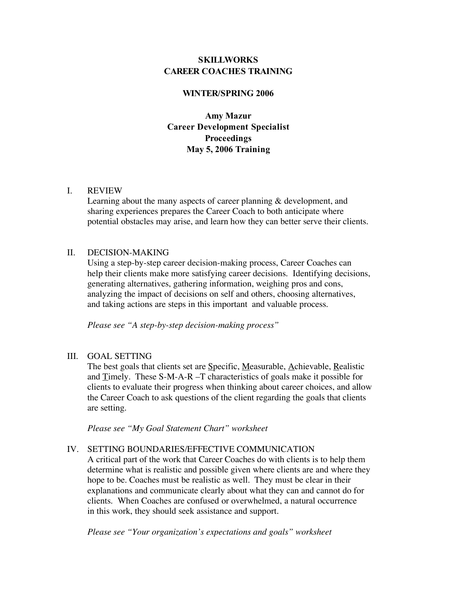# **SKILLWORKS CAREER COACHES TRAINING**

#### **WINTER/SPRING 2006**

**Amy Mazur Career Development Specialist Proceedings May 5, 2006 Training**

#### I. REVIEW

Learning about the many aspects of career planning & development, and sharing experiences prepares the Career Coach to both anticipate where potential obstacles may arise, and learn how they can better serve their clients.

## II. DECISION-MAKING

Using a step-by-step career decision-making process, Career Coaches can help their clients make more satisfying career decisions. Identifying decisions, generating alternatives, gathering information, weighing pros and cons, analyzing the impact of decisions on self and others, choosing alternatives, and taking actions are steps in this important and valuable process.

*Please see "A step-by-step decision-making process"*

## III. GOAL SETTING

The best goals that clients set are Specific, Measurable, Achievable, Realistic and Timely. These S-M-A-R –T characteristics of goals make it possible for clients to evaluate their progress when thinking about career choices, and allow the Career Coach to ask questions of the client regarding the goals that clients are setting.

*Please see "My Goal Statement Chart" worksheet*

## IV. SETTING BOUNDARIES/EFFECTIVE COMMUNICATION

A critical part of the work that Career Coaches do with clients is to help them determine what is realistic and possible given where clients are and where they hope to be. Coaches must be realistic as well. They must be clear in their explanations and communicate clearly about what they can and cannot do for clients. When Coaches are confused or overwhelmed, a natural occurrence in this work, they should seek assistance and support.

*Please see "Your organization's expectations and goals" worksheet*